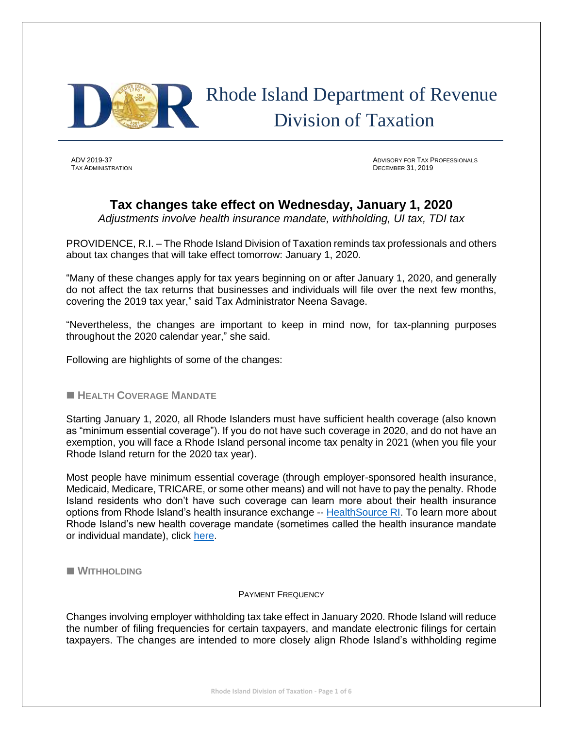

 Rhode Island Department of Revenue Division of Taxation

**TAX ADMINISTRATION** 

ADV 2019-37 ADVISORY FOR TAX PROFESSIONALS

# **Tax changes take effect on Wednesday, January 1, 2020**

*Adjustments involve health insurance mandate, withholding, UI tax, TDI tax*

PROVIDENCE, R.I. – The Rhode Island Division of Taxation reminds tax professionals and others about tax changes that will take effect tomorrow: January 1, 2020.

"Many of these changes apply for tax years beginning on or after January 1, 2020, and generally do not affect the tax returns that businesses and individuals will file over the next few months, covering the 2019 tax year," said Tax Administrator Neena Savage.

"Nevertheless, the changes are important to keep in mind now, for tax-planning purposes throughout the 2020 calendar year," she said.

Following are highlights of some of the changes:

# ■ **HEALTH COVERAGE MANDATE**

Starting January 1, 2020, all Rhode Islanders must have sufficient health coverage (also known as "minimum essential coverage"). If you do not have such coverage in 2020, and do not have an exemption, you will face a Rhode Island personal income tax penalty in 2021 (when you file your Rhode Island return for the 2020 tax year).

Most people have minimum essential coverage (through employer-sponsored health insurance, Medicaid, Medicare, TRICARE, or some other means) and will not have to pay the penalty. Rhode Island residents who don't have such coverage can learn more about their health insurance options from Rhode Island's health insurance exchange -- [HealthSource RI.](https://healthsourceri.com/) To learn more about Rhode Island's new health coverage mandate (sometimes called the health insurance mandate or individual mandate), click [here.](http://www.tax.ri.gov/healthcoveragemandate/index.php)

◼ **WITHHOLDING**

### PAYMENT FREQUENCY

Changes involving employer withholding tax take effect in January 2020. Rhode Island will reduce the number of filing frequencies for certain taxpayers, and mandate electronic filings for certain taxpayers. The changes are intended to more closely align Rhode Island's withholding regime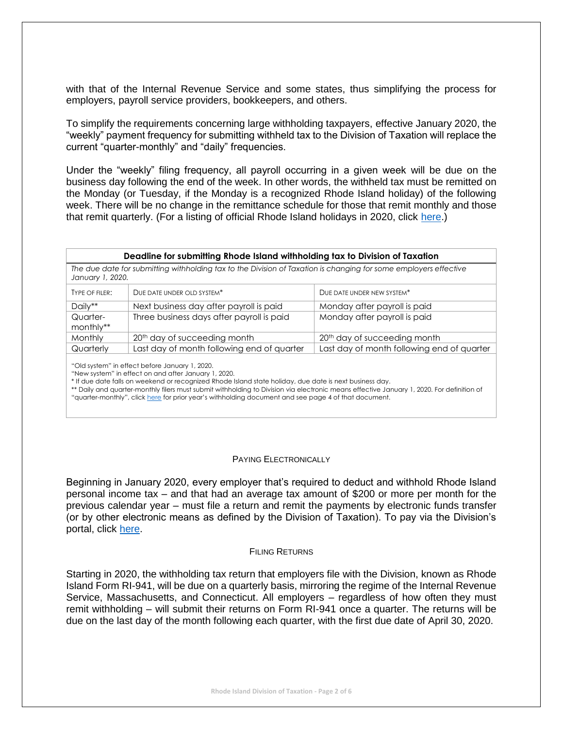with that of the Internal Revenue Service and some states, thus simplifying the process for employers, payroll service providers, bookkeepers, and others.

To simplify the requirements concerning large withholding taxpayers, effective January 2020, the "weekly" payment frequency for submitting withheld tax to the Division of Taxation will replace the current "quarter-monthly" and "daily" frequencies.

Under the "weekly" filing frequency, all payroll occurring in a given week will be due on the business day following the end of the week. In other words, the withheld tax must be remitted on the Monday (or Tuesday, if the Monday is a recognized Rhode Island holiday) of the following week. There will be no change in the remittance schedule for those that remit monthly and those that remit quarterly. (For a listing of official Rhode Island holidays in 2020, click [here.](http://www.hr.ri.gov/documents/Calendars/2020%20Calendar%20v2.pdf))

### **Deadline for submitting Rhode Island withholding tax to Division of Taxation**

*The due date for submitting withholding tax to the Division of Taxation is changing for some employers effective January 1, 2020.*

| TYPE OF FILER: | DUE DATE UNDER OLD SYSTEM*                 | DUE DATE UNDER NEW SYSTEM*                 |  |  |
|----------------|--------------------------------------------|--------------------------------------------|--|--|
| Daily**        | Next business day after payroll is paid    | Monday after payroll is paid               |  |  |
| Quarter-       | Three business days after payroll is paid  | Monday after payroll is paid               |  |  |
| monthly**      |                                            |                                            |  |  |
| Monthly        | 20 <sup>th</sup> day of succeeding month   | 20 <sup>th</sup> day of succeeding month   |  |  |
| Quarterly      | Last day of month following end of quarter | Last day of month following end of quarter |  |  |
|                |                                            |                                            |  |  |

"Old system" in effect before January 1, 2020.

"New system" in effect on and after January 1, 2020.

\* If due date falls on weekend or recognized Rhode Island state holiday, due date is next business day.

\*\* Daily and quarter-monthly filers must submit withholding to Division via electronic means effective January 1, 2020. For definition of "quarter-monthly", click [here](http://www.tax.ri.gov/forms/2019/Withholding/2019%20Withholding%20Booklet.pdf) for prior year's withholding document and see page 4 of that document.

### PAYING ELECTRONICALLY

Beginning in January 2020, every employer that's required to deduct and withhold Rhode Island personal income tax – and that had an average tax amount of \$200 or more per month for the previous calendar year – must file a return and remit the payments by electronic funds transfer (or by other electronic means as defined by the Division of Taxation). To pay via the Division's portal, click [here.](https://taxportal.ri.gov/rptp/portal/home/!ut/p/z1/04_Sj9CPykssy0xPLMnMz0vMAfIjo8zijS0MnN09DIy83EODjQwc_R1DTcIcvYAsE_1wQgqigNIGOICjAVB_FCElBbkRBumOiooA7YFcLQ!!/dz/d5/L2dBISEvZ0FBIS9nQSEh/)

### FILING RETURNS

Starting in 2020, the withholding tax return that employers file with the Division, known as Rhode Island Form RI-941, will be due on a quarterly basis, mirroring the regime of the Internal Revenue Service, Massachusetts, and Connecticut. All employers – regardless of how often they must remit withholding – will submit their returns on Form RI-941 once a quarter. The returns will be due on the last day of the month following each quarter, with the first due date of April 30, 2020.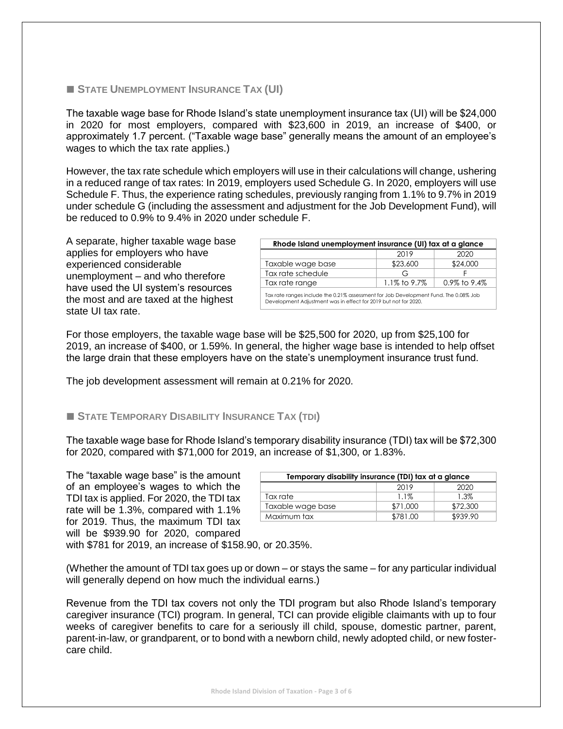## ◼ **STATE UNEMPLOYMENT INSURANCE TAX (UI)**

The taxable wage base for Rhode Island's state unemployment insurance tax (UI) will be \$24,000 in 2020 for most employers, compared with \$23,600 in 2019, an increase of \$400, or approximately 1.7 percent. ("Taxable wage base" generally means the amount of an employee's wages to which the tax rate applies.)

However, the tax rate schedule which employers will use in their calculations will change, ushering in a reduced range of tax rates: In 2019, employers used Schedule G. In 2020, employers will use Schedule F. Thus, the experience rating schedules, previously ranging from 1.1% to 9.7% in 2019 under schedule G (including the assessment and adjustment for the Job Development Fund), will be reduced to 0.9% to 9.4% in 2020 under schedule F.

A separate, higher taxable wage base applies for employers who have experienced considerable unemployment – and who therefore have used the UI system's resources the most and are taxed at the highest state UI tax rate.

| Rhode Island unemployment insurance (UI) tax at a glance                                                                                                |              |                 |  |  |
|---------------------------------------------------------------------------------------------------------------------------------------------------------|--------------|-----------------|--|--|
|                                                                                                                                                         | 2019         | 2020            |  |  |
| Taxable wage base                                                                                                                                       | \$23,600     | \$24,000        |  |  |
| Tax rate schedule                                                                                                                                       | G            |                 |  |  |
| Tax rate range                                                                                                                                          | 1.1% to 9.7% | $0.9\%$ to 9.4% |  |  |
| Tax rate ranges include the 0.21% assessment for Job Development Fund. The 0.08% Job<br>Development Adjustment was in effect for 2019 but not for 2020. |              |                 |  |  |

For those employers, the taxable wage base will be \$25,500 for 2020, up from \$25,100 for 2019, an increase of \$400, or 1.59%. In general, the higher wage base is intended to help offset the large drain that these employers have on the state's unemployment insurance trust fund.

The job development assessment will remain at 0.21% for 2020.

# ◼ **STATE TEMPORARY DISABILITY INSURANCE TAX (TDI)**

The taxable wage base for Rhode Island's temporary disability insurance (TDI) tax will be \$72,300 for 2020, compared with \$71,000 for 2019, an increase of \$1,300, or 1.83%.

The "taxable wage base" is the amount of an employee's wages to which the TDI tax is applied. For 2020, the TDI tax rate will be 1.3%, compared with 1.1% for 2019. Thus, the maximum TDI tax will be \$939.90 for 2020, compared

| Temporary disability insurance (TDI) tax at a glance |          |          |  |  |
|------------------------------------------------------|----------|----------|--|--|
|                                                      | 2019     | 2020     |  |  |
| Tax rate                                             | $1.1\%$  | 1.3%     |  |  |
| Taxable wage base                                    | \$71,000 | \$72,300 |  |  |
| Maximum tax                                          | \$781.00 | \$939.90 |  |  |

with \$781 for 2019, an increase of \$158.90, or 20.35%.

(Whether the amount of TDI tax goes up or down – or stays the same – for any particular individual will generally depend on how much the individual earns.)

Revenue from the TDI tax covers not only the TDI program but also Rhode Island's temporary caregiver insurance (TCI) program. In general, TCI can provide eligible claimants with up to four weeks of caregiver benefits to care for a seriously ill child, spouse, domestic partner, parent, parent-in-law, or grandparent, or to bond with a newborn child, newly adopted child, or new fostercare child.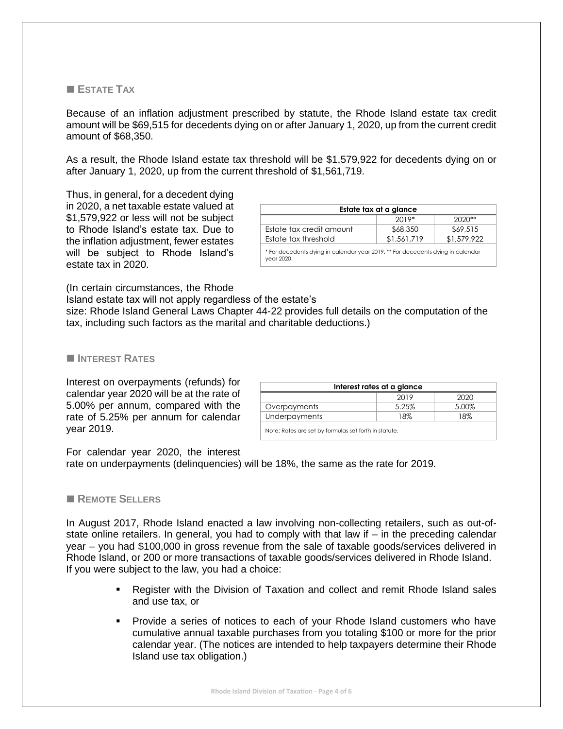# ■ **ESTATE TAX**

Because of an inflation adjustment prescribed by statute, the Rhode Island estate tax credit amount will be \$69,515 for decedents dying on or after January 1, 2020, up from the current credit amount of \$68,350.

As a result, the Rhode Island estate tax threshold will be \$1,579,922 for decedents dying on or after January 1, 2020, up from the current threshold of \$1,561,719.

Thus, in general, for a decedent dying in 2020, a net taxable estate valued at \$1,579,922 or less will not be subject to Rhode Island's estate tax. Due to the inflation adjustment, fewer estates will be subject to Rhode Island's estate tax in 2020.

| Estate tax at a glance                                                                        |             |             |  |  |
|-----------------------------------------------------------------------------------------------|-------------|-------------|--|--|
|                                                                                               | $2019*$     | $2020**$    |  |  |
| Estate tax credit amount                                                                      | \$68,350    | \$69,515    |  |  |
| Estate tax threshold                                                                          | \$1,561,719 | \$1,579,922 |  |  |
| * For decedents dying in calendar year 2019, ** For decedents dying in calendar<br>year 2020. |             |             |  |  |

(In certain circumstances, the Rhode

Island estate tax will not apply regardless of the estate's

size: Rhode Island General Laws Chapter 44-22 provides full details on the computation of the tax, including such factors as the marital and charitable deductions.)

### ◼ **INTEREST RATES**

Interest on overpayments (refunds) for calendar year 2020 will be at the rate of 5.00% per annum, compared with the rate of 5.25% per annum for calendar year 2019.

| Interest rates at a glance                            |       |       |  |  |  |
|-------------------------------------------------------|-------|-------|--|--|--|
|                                                       | 2019  | 2020  |  |  |  |
| Overpayments                                          | 5.25% | 5.00% |  |  |  |
| <b>Underpayments</b>                                  | 18%   | 18%   |  |  |  |
| Note: Rates are set by formulas set forth in statute. |       |       |  |  |  |

For calendar year 2020, the interest

rate on underpayments (delinquencies) will be 18%, the same as the rate for 2019.

### ◼ **REMOTE SELLERS**

In August 2017, Rhode Island enacted a law involving non-collecting retailers, such as out-ofstate online retailers. In general, you had to comply with that law if – in the preceding calendar year – you had \$100,000 in gross revenue from the sale of taxable goods/services delivered in Rhode Island, or 200 or more transactions of taxable goods/services delivered in Rhode Island. If you were subject to the law, you had a choice:

- Register with the Division of Taxation and collect and remit Rhode Island sales and use tax, or
- Provide a series of notices to each of your Rhode Island customers who have cumulative annual taxable purchases from you totaling \$100 or more for the prior calendar year. (The notices are intended to help taxpayers determine their Rhode Island use tax obligation.)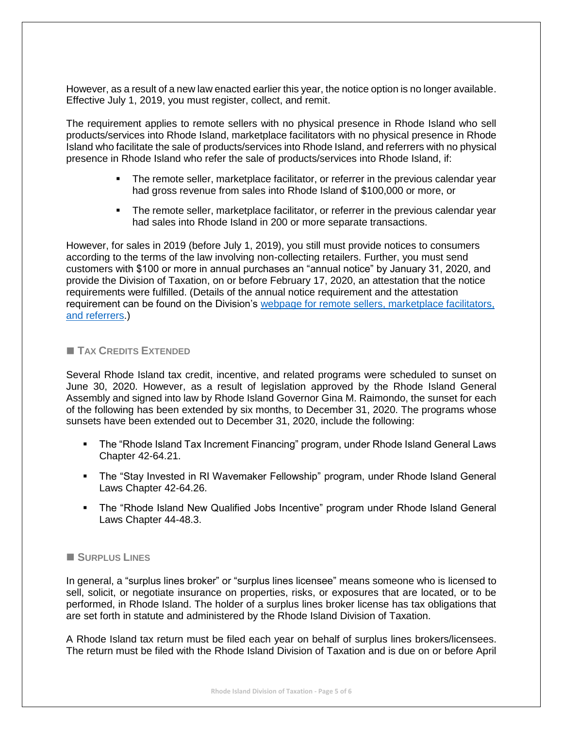However, as a result of a new law enacted earlier this year, the notice option is no longer available. Effective July 1, 2019, you must register, collect, and remit.

The requirement applies to remote sellers with no physical presence in Rhode Island who sell products/services into Rhode Island, marketplace facilitators with no physical presence in Rhode Island who facilitate the sale of products/services into Rhode Island, and referrers with no physical presence in Rhode Island who refer the sale of products/services into Rhode Island, if:

- **•** The remote seller, marketplace facilitator, or referrer in the previous calendar year had gross revenue from sales into Rhode Island of \$100,000 or more, or
- **The remote seller, marketplace facilitator, or referrer in the previous calendar year** had sales into Rhode Island in 200 or more separate transactions.

However, for sales in 2019 (before July 1, 2019), you still must provide notices to consumers according to the terms of the law involving non-collecting retailers. Further, you must send customers with \$100 or more in annual purchases an "annual notice" by January 31, 2020, and provide the Division of Taxation, on or before February 17, 2020, an attestation that the notice requirements were fulfilled. (Details of the annual notice requirement and the attestation requirement can be found on the Division's [webpage for remote sellers, marketplace facilitators,](http://www.tax.ri.gov/Non-collecting%20retailers/index.php)  [and referrers.](http://www.tax.ri.gov/Non-collecting%20retailers/index.php))

# ■ **TAX CREDITS EXTENDED**

Several Rhode Island tax credit, incentive, and related programs were scheduled to sunset on June 30, 2020. However, as a result of legislation approved by the Rhode Island General Assembly and signed into law by Rhode Island Governor Gina M. Raimondo, the sunset for each of the following has been extended by six months, to December 31, 2020. The programs whose sunsets have been extended out to December 31, 2020, include the following:

- The "Rhode Island Tax Increment Financing" program, under Rhode Island General Laws Chapter 42-64.21.
- The "Stay Invested in RI Wavemaker Fellowship" program, under Rhode Island General Laws Chapter 42-64.26.
- **•** The "Rhode Island New Qualified Jobs Incentive" program under Rhode Island General Laws Chapter 44-48.3.

## ◼ **SURPLUS LINES**

In general, a "surplus lines broker" or "surplus lines licensee" means someone who is licensed to sell, solicit, or negotiate insurance on properties, risks, or exposures that are located, or to be performed, in Rhode Island. The holder of a surplus lines broker license has tax obligations that are set forth in statute and administered by the Rhode Island Division of Taxation.

A Rhode Island tax return must be filed each year on behalf of surplus lines brokers/licensees. The return must be filed with the Rhode Island Division of Taxation and is due on or before April